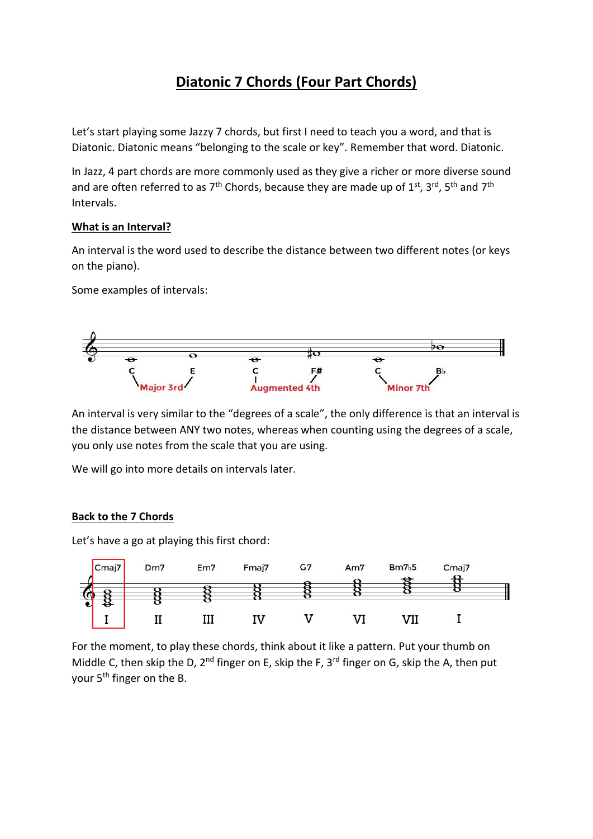## **Diatonic 7 Chords (Four Part Chords)**

Let's start playing some Jazzy 7 chords, but first I need to teach you a word, and that is Diatonic. Diatonic means "belonging to the scale or key". Remember that word. Diatonic.

In Jazz, 4 part chords are more commonly used as they give a richer or more diverse sound and are often referred to as  $7<sup>th</sup>$  Chords, because they are made up of  $1<sup>st</sup>$ ,  $3<sup>rd</sup>$ ,  $5<sup>th</sup>$  and  $7<sup>th</sup>$ Intervals.

## **What is an Interval?**

An interval is the word used to describe the distance between two different notes (or keys on the piano).

Some examples of intervals:



An interval is very similar to the "degrees of a scale", the only difference is that an interval is the distance between ANY two notes, whereas when counting using the degrees of a scale, you only use notes from the scale that you are using.

We will go into more details on intervals later.

## **Back to the 7 Chords**

Let's have a go at playing this first chord:



For the moment, to play these chords, think about it like a pattern. Put your thumb on Middle C, then skip the D,  $2^{nd}$  finger on E, skip the F,  $3^{rd}$  finger on G, skip the A, then put your 5<sup>th</sup> finger on the B.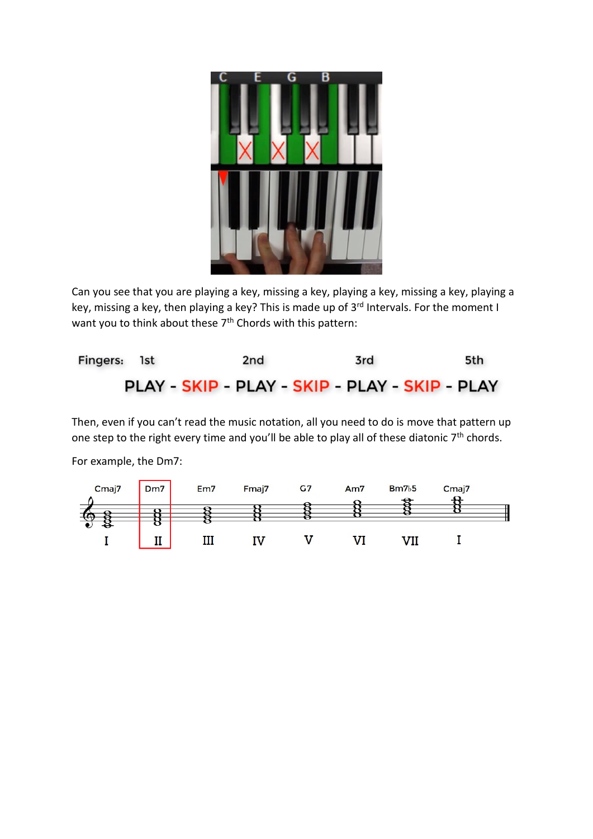

Can you see that you are playing a key, missing a key, playing a key, missing a key, playing a key, missing a key, then playing a key? This is made up of 3<sup>rd</sup> Intervals. For the moment I want you to think about these 7<sup>th</sup> Chords with this pattern:



Then, even if you can't read the music notation, all you need to do is move that pattern up one step to the right every time and you'll be able to play all of these diatonic 7<sup>th</sup> chords.

For example, the Dm7: